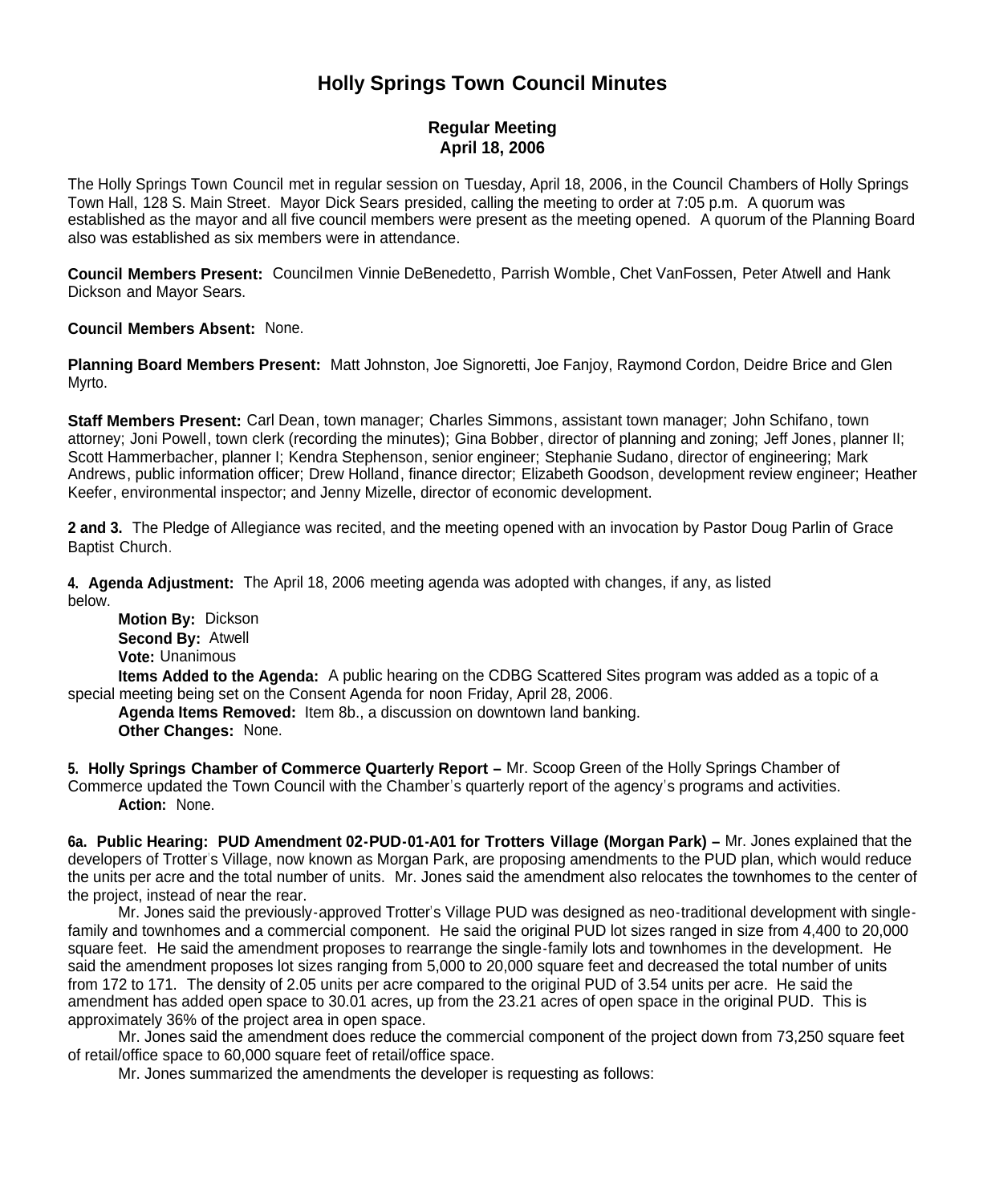# **Holly Springs Town Council Minutes**

# **Regular Meeting April 18, 2006**

The Holly Springs Town Council met in regular session on Tuesday, April 18, 2006, in the Council Chambers of Holly Springs Town Hall, 128 S. Main Street. Mayor Dick Sears presided, calling the meeting to order at 7:05 p.m. A quorum was established as the mayor and all five council members were present as the meeting opened. A quorum of the Planning Board also was established as six members were in attendance.

**Council Members Present:** Councilmen Vinnie DeBenedetto, Parrish Womble, Chet VanFossen, Peter Atwell and Hank Dickson and Mayor Sears.

**Council Members Absent:** None.

**Planning Board Members Present:** Matt Johnston, Joe Signoretti, Joe Fanjoy, Raymond Cordon, Deidre Brice and Glen Myrto.

**Staff Members Present:** Carl Dean, town manager; Charles Simmons, assistant town manager; John Schifano, town attorney; Joni Powell, town clerk (recording the minutes); Gina Bobber, director of planning and zoning; Jeff Jones, planner II; Scott Hammerbacher, planner I; Kendra Stephenson, senior engineer; Stephanie Sudano, director of engineering; Mark Andrews, public information officer; Drew Holland, finance director; Elizabeth Goodson, development review engineer; Heather Keefer, environmental inspector; and Jenny Mizelle, director of economic development.

**2 and 3.** The Pledge of Allegiance was recited, and the meeting opened with an invocation by Pastor Doug Parlin of Grace Baptist Church.

**4. Agenda Adjustment:** The April 18, 2006 meeting agenda was adopted with changes, if any, as listed below.

**Motion By:** Dickson **Second By:** Atwell **Vote:** Unanimous

**Items Added to the Agenda:** A public hearing on the CDBG Scattered Sites program was added as a topic of a special meeting being set on the Consent Agenda for noon Friday, April 28, 2006.

**Agenda Items Removed:** Item 8b., a discussion on downtown land banking. **Other Changes:** None.

**5. Holly Springs Chamber of Commerce Quarterly Report –** Mr. Scoop Green of the Holly Springs Chamber of Commerce updated the Town Council with the Chamber's quarterly report of the agency's programs and activities. **Action:** None.

**6a. Public Hearing: PUD Amendment 02-PUD-01-A01 for Trotters Village (Morgan Park) –** Mr. Jones explained that the developers of Trotter's Village, now known as Morgan Park, are proposing amendments to the PUD plan, which would reduce the units per acre and the total number of units. Mr. Jones said the amendment also relocates the townhomes to the center of the project, instead of near the rear.

Mr. Jones said the previously-approved Trotter's Village PUD was designed as neo-traditional development with singlefamily and townhomes and a commercial component. He said the original PUD lot sizes ranged in size from 4,400 to 20,000 square feet. He said the amendment proposes to rearrange the single-family lots and townhomes in the development. He said the amendment proposes lot sizes ranging from 5,000 to 20,000 square feet and decreased the total number of units from 172 to 171. The density of 2.05 units per acre compared to the original PUD of 3.54 units per acre. He said the amendment has added open space to 30.01 acres, up from the 23.21 acres of open space in the original PUD. This is approximately 36% of the project area in open space.

Mr. Jones said the amendment does reduce the commercial component of the project down from 73,250 square feet of retail/office space to 60,000 square feet of retail/office space.

Mr. Jones summarized the amendments the developer is requesting as follows: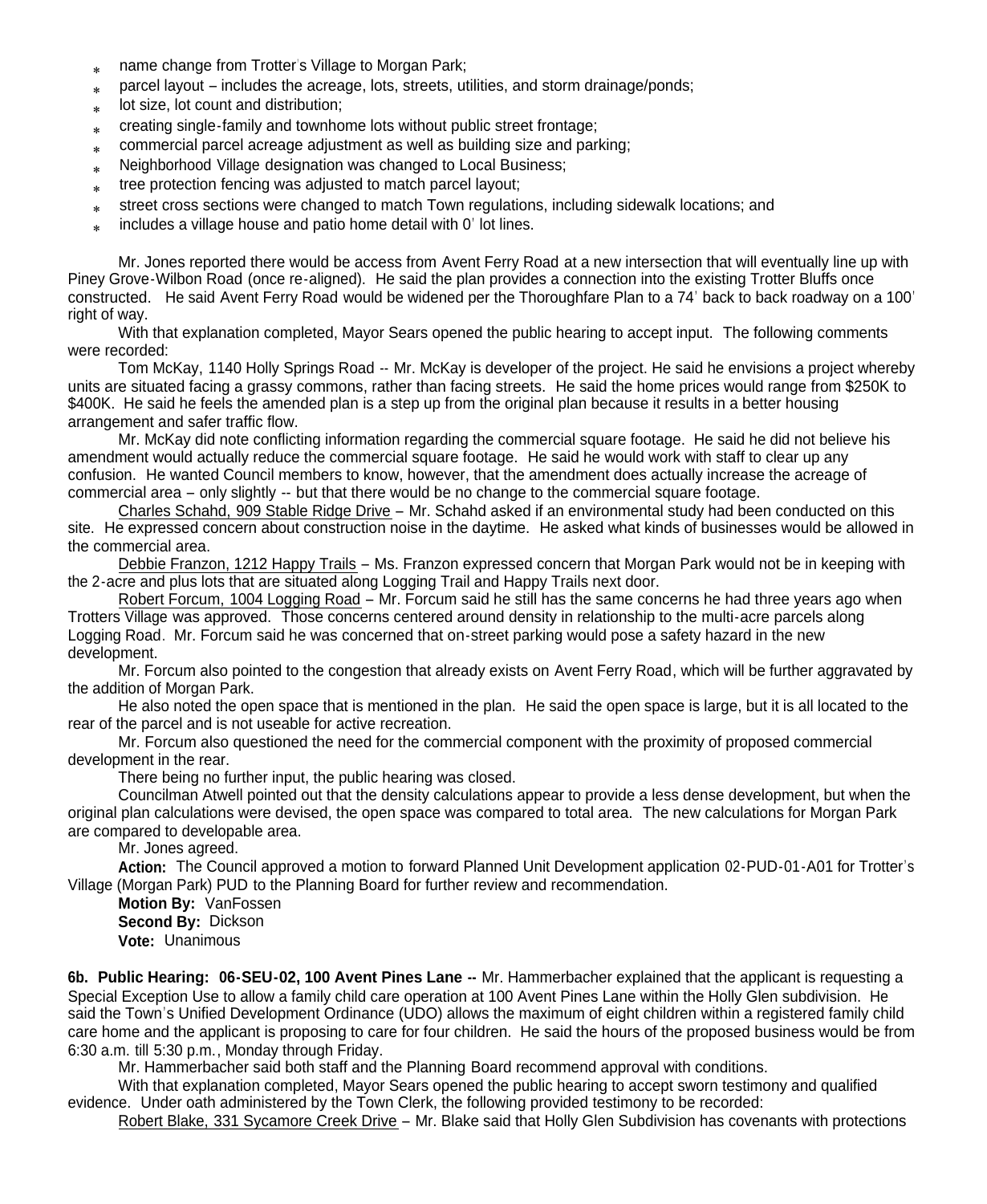- name change from Trotter's Village to Morgan Park;
- parcel layout includes the acreage, lots, streets, utilities, and storm drainage/ponds;
- $\mathbf{x}$ lot size, lot count and distribution;
- $\ast$ creating single-family and townhome lots without public street frontage;
- $\ast$ commercial parcel acreage adjustment as well as building size and parking;
- Neighborhood Village designation was changed to Local Business;
- $*$ tree protection fencing was adjusted to match parcel layout;
- $\ast$ street cross sections were changed to match Town regulations, including sidewalk locations; and
- $*$ includes a village house and patio home detail with 0' lot lines.

Mr. Jones reported there would be access from Avent Ferry Road at a new intersection that will eventually line up with Piney Grove-Wilbon Road (once re-aligned). He said the plan provides a connection into the existing Trotter Bluffs once constructed. He said Avent Ferry Road would be widened per the Thoroughfare Plan to a 74' back to back roadway on a 100' right of way.

With that explanation completed, Mayor Sears opened the public hearing to accept input. The following comments were recorded:

Tom McKay, 1140 Holly Springs Road -- Mr. McKay is developer of the project. He said he envisions a project whereby units are situated facing a grassy commons, rather than facing streets. He said the home prices would range from \$250K to \$400K. He said he feels the amended plan is a step up from the original plan because it results in a better housing arrangement and safer traffic flow.

Mr. McKay did note conflicting information regarding the commercial square footage. He said he did not believe his amendment would actually reduce the commercial square footage. He said he would work with staff to clear up any confusion. He wanted Council members to know, however, that the amendment does actually increase the acreage of commercial area – only slightly -- but that there would be no change to the commercial square footage.

Charles Schahd, 909 Stable Ridge Drive – Mr. Schahd asked if an environmental study had been conducted on this site. He expressed concern about construction noise in the daytime. He asked what kinds of businesses would be allowed in the commercial area.

Debbie Franzon, 1212 Happy Trails – Ms. Franzon expressed concern that Morgan Park would not be in keeping with the 2-acre and plus lots that are situated along Logging Trail and Happy Trails next door.

Robert Forcum, 1004 Logging Road – Mr. Forcum said he still has the same concerns he had three years ago when Trotters Village was approved. Those concerns centered around density in relationship to the multi-acre parcels along Logging Road. Mr. Forcum said he was concerned that on-street parking would pose a safety hazard in the new development.

Mr. Forcum also pointed to the congestion that already exists on Avent Ferry Road, which will be further aggravated by the addition of Morgan Park.

He also noted the open space that is mentioned in the plan. He said the open space is large, but it is all located to the rear of the parcel and is not useable for active recreation.

Mr. Forcum also questioned the need for the commercial component with the proximity of proposed commercial development in the rear.

There being no further input, the public hearing was closed.

Councilman Atwell pointed out that the density calculations appear to provide a less dense development, but when the original plan calculations were devised, the open space was compared to total area. The new calculations for Morgan Park are compared to developable area.

Mr. Jones agreed.

**Action:** The Council approved a motion to forward Planned Unit Development application 02-PUD-01-A01 for Trotter's Village (Morgan Park) PUD to the Planning Board for further review and recommendation.

**Motion By:** VanFossen **Second By:** Dickson **Vote:** Unanimous

**6b. Public Hearing: 06-SEU-02, 100 Avent Pines Lane --** Mr. Hammerbacher explained that the applicant is requesting a Special Exception Use to allow a family child care operation at 100 Avent Pines Lane within the Holly Glen subdivision. He said the Town's Unified Development Ordinance (UDO) allows the maximum of eight children within a registered family child care home and the applicant is proposing to care for four children. He said the hours of the proposed business would be from 6:30 a.m. till 5:30 p.m., Monday through Friday.

Mr. Hammerbacher said both staff and the Planning Board recommend approval with conditions.

With that explanation completed, Mayor Sears opened the public hearing to accept sworn testimony and qualified evidence. Under oath administered by the Town Clerk, the following provided testimony to be recorded:

Robert Blake, 331 Sycamore Creek Drive – Mr. Blake said that Holly Glen Subdivision has covenants with protections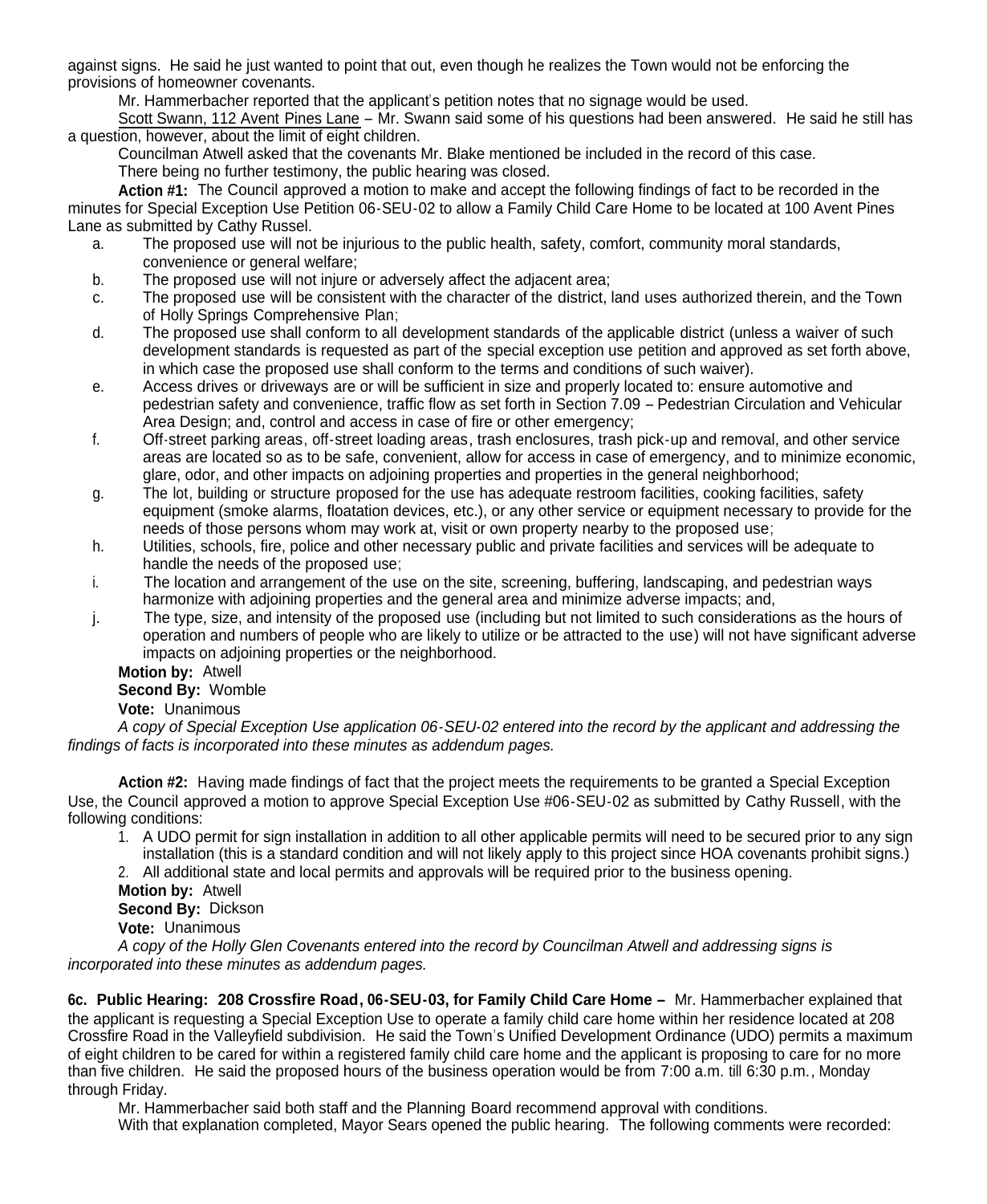against signs. He said he just wanted to point that out, even though he realizes the Town would not be enforcing the provisions of homeowner covenants.

Mr. Hammerbacher reported that the applicant's petition notes that no signage would be used.

Scott Swann, 112 Avent Pines Lane – Mr. Swann said some of his questions had been answered. He said he still has a question, however, about the limit of eight children.

Councilman Atwell asked that the covenants Mr. Blake mentioned be included in the record of this case. There being no further testimony, the public hearing was closed.

**Action #1:** The Council approved a motion to make and accept the following findings of fact to be recorded in the minutes for Special Exception Use Petition 06-SEU-02 to allow a Family Child Care Home to be located at 100 Avent Pines Lane as submitted by Cathy Russel.

- a. The proposed use will not be injurious to the public health, safety, comfort, community moral standards, convenience or general welfare;
- b. The proposed use will not injure or adversely affect the adjacent area;
- c. The proposed use will be consistent with the character of the district, land uses authorized therein, and the Town of Holly Springs Comprehensive Plan;
- d. The proposed use shall conform to all development standards of the applicable district (unless a waiver of such development standards is requested as part of the special exception use petition and approved as set forth above, in which case the proposed use shall conform to the terms and conditions of such waiver).
- e. Access drives or driveways are or will be sufficient in size and properly located to: ensure automotive and pedestrian safety and convenience, traffic flow as set forth in Section 7.09 – Pedestrian Circulation and Vehicular Area Design; and, control and access in case of fire or other emergency;
- f. Off-street parking areas, off-street loading areas, trash enclosures, trash pick-up and removal, and other service areas are located so as to be safe, convenient, allow for access in case of emergency, and to minimize economic, glare, odor, and other impacts on adjoining properties and properties in the general neighborhood;
- g. The lot, building or structure proposed for the use has adequate restroom facilities, cooking facilities, safety equipment (smoke alarms, floatation devices, etc.), or any other service or equipment necessary to provide for the needs of those persons whom may work at, visit or own property nearby to the proposed use;
- h. Utilities, schools, fire, police and other necessary public and private facilities and services will be adequate to handle the needs of the proposed use;
- i. The location and arrangement of the use on the site, screening, buffering, landscaping, and pedestrian ways harmonize with adjoining properties and the general area and minimize adverse impacts; and,
- j. The type, size, and intensity of the proposed use (including but not limited to such considerations as the hours of operation and numbers of people who are likely to utilize or be attracted to the use) will not have significant adverse impacts on adjoining properties or the neighborhood.

# **Motion by:** Atwell

## **Second By:** Womble

**Vote:** Unanimous

*A copy of Special Exception Use application 06-SEU-02 entered into the record by the applicant and addressing the findings of facts is incorporated into these minutes as addendum pages.*

**Action #2:** Having made findings of fact that the project meets the requirements to be granted a Special Exception Use, the Council approved a motion to approve Special Exception Use #06-SEU-02 as submitted by Cathy Russell, with the following conditions:

1. A UDO permit for sign installation in addition to all other applicable permits will need to be secured prior to any sign installation (this is a standard condition and will not likely apply to this project since HOA covenants prohibit signs.)

2. All additional state and local permits and approvals will be required prior to the business opening.

## **Motion by:** Atwell

**Second By:** Dickson

**Vote:** Unanimous

*A copy of the Holly Glen Covenants entered into the record by Councilman Atwell and addressing signs is incorporated into these minutes as addendum pages.*

**6c. Public Hearing: 208 Crossfire Road, 06-SEU-03, for Family Child Care Home –** Mr. Hammerbacher explained that the applicant is requesting a Special Exception Use to operate a family child care home within her residence located at 208 Crossfire Road in the Valleyfield subdivision. He said the Town's Unified Development Ordinance (UDO) permits a maximum of eight children to be cared for within a registered family child care home and the applicant is proposing to care for no more than five children. He said the proposed hours of the business operation would be from 7:00 a.m. till 6:30 p.m., Monday through Friday.

Mr. Hammerbacher said both staff and the Planning Board recommend approval with conditions.

With that explanation completed, Mayor Sears opened the public hearing. The following comments were recorded: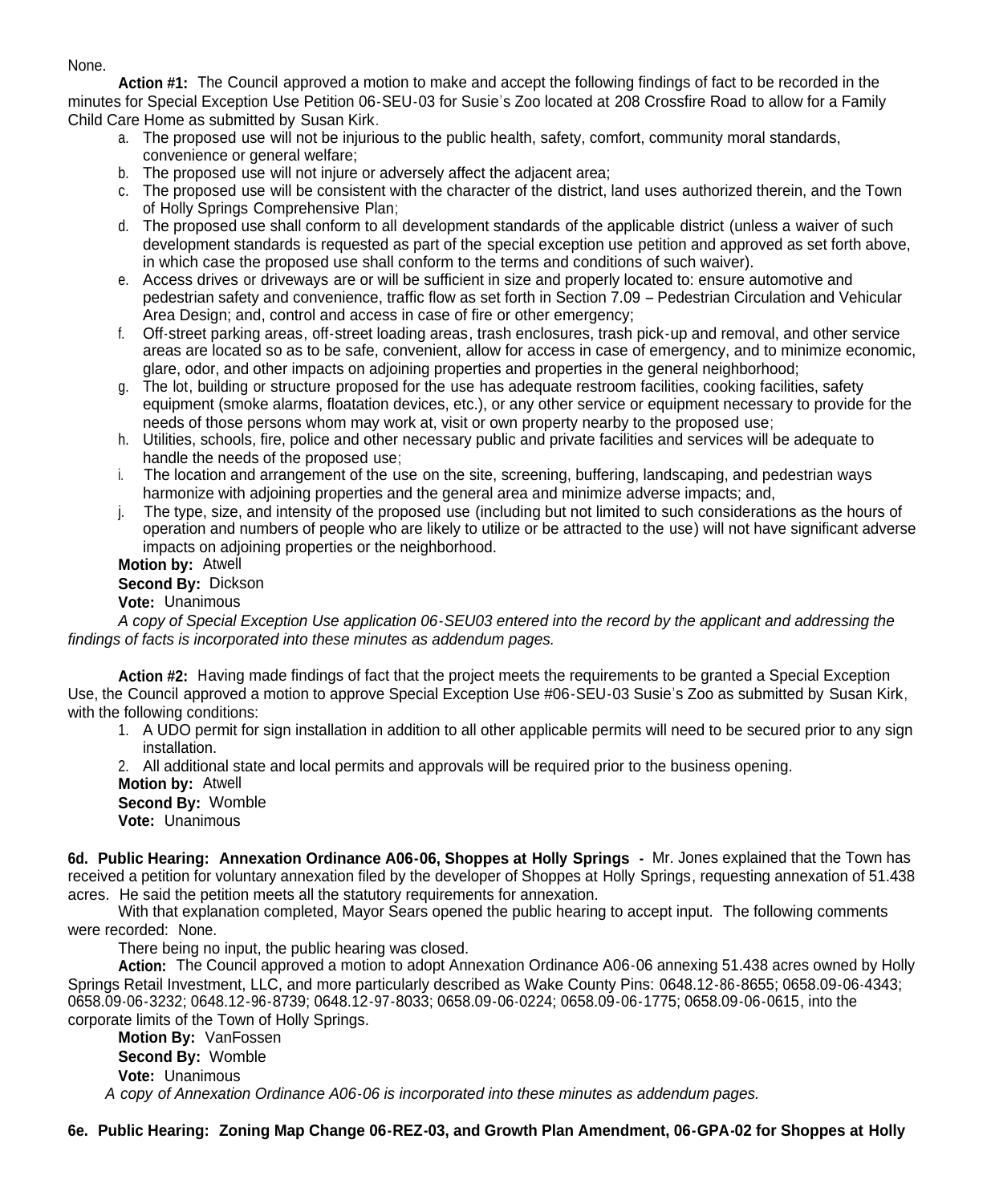#### None.

**Action #1:** The Council approved a motion to make and accept the following findings of fact to be recorded in the minutes for Special Exception Use Petition 06-SEU-03 for Susie's Zoo located at 208 Crossfire Road to allow for a Family Child Care Home as submitted by Susan Kirk.

- a. The proposed use will not be injurious to the public health, safety, comfort, community moral standards, convenience or general welfare;
- b. The proposed use will not injure or adversely affect the adjacent area;
- c. The proposed use will be consistent with the character of the district, land uses authorized therein, and the Town of Holly Springs Comprehensive Plan;
- d. The proposed use shall conform to all development standards of the applicable district (unless a waiver of such development standards is requested as part of the special exception use petition and approved as set forth above, in which case the proposed use shall conform to the terms and conditions of such waiver).
- e. Access drives or driveways are or will be sufficient in size and properly located to: ensure automotive and pedestrian safety and convenience, traffic flow as set forth in Section 7.09 – Pedestrian Circulation and Vehicular Area Design; and, control and access in case of fire or other emergency;
- f. Off-street parking areas, off-street loading areas, trash enclosures, trash pick-up and removal, and other service areas are located so as to be safe, convenient, allow for access in case of emergency, and to minimize economic, glare, odor, and other impacts on adjoining properties and properties in the general neighborhood;
- g. The lot, building or structure proposed for the use has adequate restroom facilities, cooking facilities, safety equipment (smoke alarms, floatation devices, etc.), or any other service or equipment necessary to provide for the needs of those persons whom may work at, visit or own property nearby to the proposed use;
- h. Utilities, schools, fire, police and other necessary public and private facilities and services will be adequate to handle the needs of the proposed use;
- i. The location and arrangement of the use on the site, screening, buffering, landscaping, and pedestrian ways harmonize with adjoining properties and the general area and minimize adverse impacts; and,
- j. The type, size, and intensity of the proposed use (including but not limited to such considerations as the hours of operation and numbers of people who are likely to utilize or be attracted to the use) will not have significant adverse impacts on adjoining properties or the neighborhood.

**Motion by:** Atwell

**Second By:** Dickson

**Vote:** Unanimous

*A copy of Special Exception Use application 06-SEU03 entered into the record by the applicant and addressing the findings of facts is incorporated into these minutes as addendum pages.*

**Action #2:** Having made findings of fact that the project meets the requirements to be granted a Special Exception Use, the Council approved a motion to approve Special Exception Use #06-SEU-03 Susie's Zoo as submitted by Susan Kirk, with the following conditions:

- 1. A UDO permit for sign installation in addition to all other applicable permits will need to be secured prior to any sign installation.
- 2. All additional state and local permits and approvals will be required prior to the business opening. **Motion by:** Atwell

**Second By:** Womble

**Vote:** Unanimous

**6d. Public Hearing: Annexation Ordinance A06-06, Shoppes at Holly Springs -** Mr. Jones explained that the Town has received a petition for voluntary annexation filed by the developer of Shoppes at Holly Springs, requesting annexation of 51.438 acres. He said the petition meets all the statutory requirements for annexation.

With that explanation completed, Mayor Sears opened the public hearing to accept input. The following comments were recorded: None.

There being no input, the public hearing was closed.

**Action:** The Council approved a motion to adopt Annexation Ordinance A06-06 annexing 51.438 acres owned by Holly Springs Retail Investment, LLC, and more particularly described as Wake County Pins: 0648.12-86-8655; 0658.09-06-4343; 0658.09-06-3232; 0648.12-96-8739; 0648.12-97-8033; 0658.09-06-0224; 0658.09-06-1775; 0658.09-06-0615, into the corporate limits of the Town of Holly Springs.

**Motion By:** VanFossen **Second By:** Womble **Vote:** Unanimous *A copy of Annexation Ordinance A06-06 is incorporated into these minutes as addendum pages.*

**6e. Public Hearing: Zoning Map Change 06-REZ-03, and Growth Plan Amendment, 06-GPA-02 for Shoppes at Holly**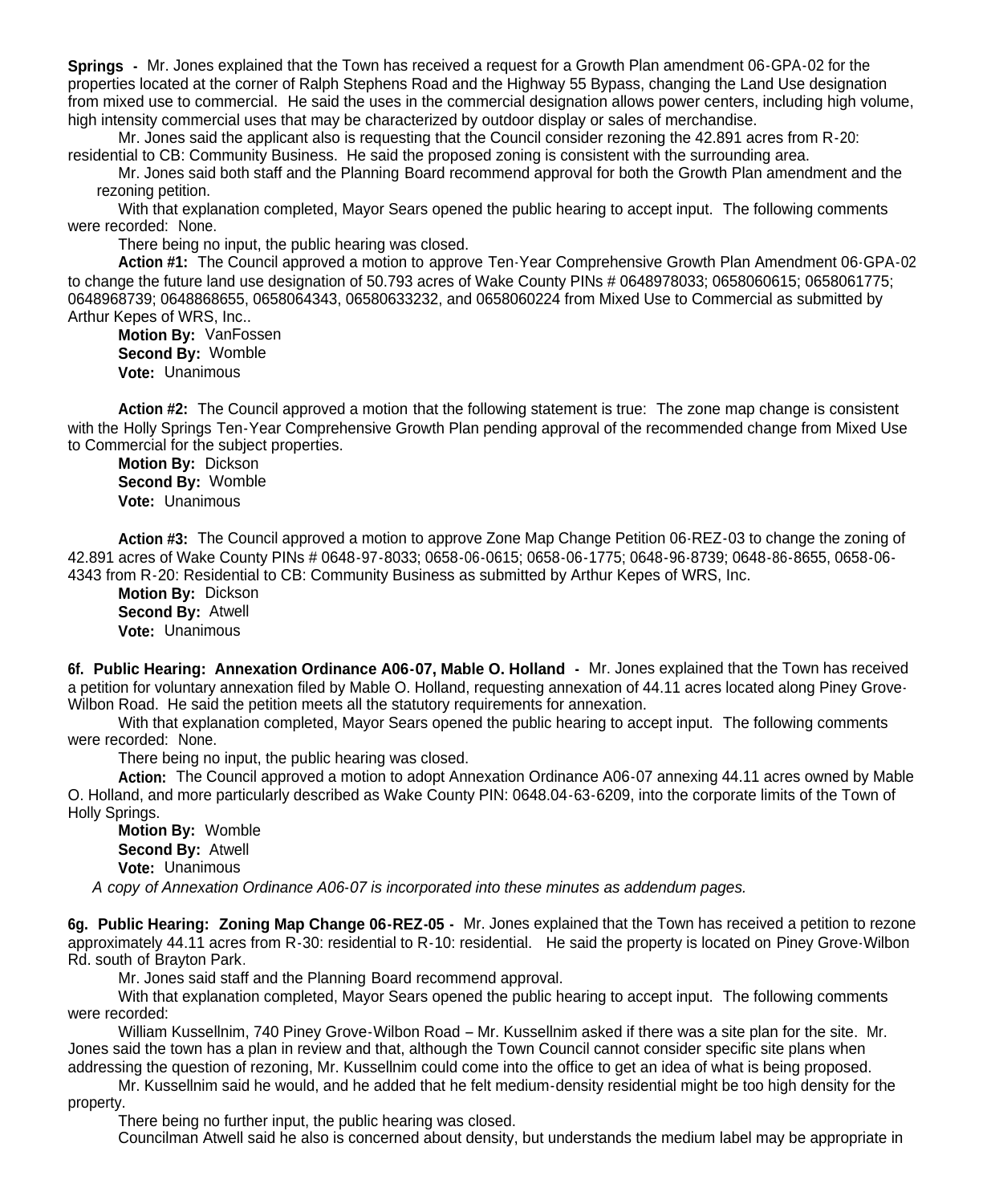**Springs -** Mr. Jones explained that the Town has received a request for a Growth Plan amendment 06-GPA-02 for the properties located at the corner of Ralph Stephens Road and the Highway 55 Bypass, changing the Land Use designation from mixed use to commercial. He said the uses in the commercial designation allows power centers, including high volume, high intensity commercial uses that may be characterized by outdoor display or sales of merchandise.

Mr. Jones said the applicant also is requesting that the Council consider rezoning the 42.891 acres from R-20: residential to CB: Community Business. He said the proposed zoning is consistent with the surrounding area.

Mr. Jones said both staff and the Planning Board recommend approval for both the Growth Plan amendment and the rezoning petition.

With that explanation completed, Mayor Sears opened the public hearing to accept input. The following comments were recorded: None.

There being no input, the public hearing was closed.

**Action #1:** The Council approved a motion to approve Ten-Year Comprehensive Growth Plan Amendment 06-GPA-02 to change the future land use designation of 50.793 acres of Wake County PINs # 0648978033; 0658060615; 0658061775; 0648968739; 0648868655, 0658064343, 06580633232, and 0658060224 from Mixed Use to Commercial as submitted by Arthur Kepes of WRS, Inc..

**Motion By:** VanFossen **Second By:** Womble **Vote:** Unanimous

**Action #2:** The Council approved a motion that the following statement is true: The zone map change is consistent with the Holly Springs Ten-Year Comprehensive Growth Plan pending approval of the recommended change from Mixed Use to Commercial for the subject properties.

**Motion By:** Dickson **Second By:** Womble **Vote:** Unanimous

**Action #3:** The Council approved a motion to approve Zone Map Change Petition 06-REZ-03 to change the zoning of 42.891 acres of Wake County PINs # 0648-97-8033; 0658-06-0615; 0658-06-1775; 0648-96-8739; 0648-86-8655, 0658-06- 4343 from R-20: Residential to CB: Community Business as submitted by Arthur Kepes of WRS, Inc.

**Motion By:** Dickson **Second By:** Atwell **Vote:** Unanimous

**6f. Public Hearing: Annexation Ordinance A06-07, Mable O. Holland -** Mr. Jones explained that the Town has received a petition for voluntary annexation filed by Mable O. Holland, requesting annexation of 44.11 acres located along Piney Grove- Wilbon Road. He said the petition meets all the statutory requirements for annexation.

With that explanation completed, Mayor Sears opened the public hearing to accept input. The following comments were recorded: None.

There being no input, the public hearing was closed.

**Action:** The Council approved a motion to adopt Annexation Ordinance A06-07 annexing 44.11 acres owned by Mable O. Holland, and more particularly described as Wake County PIN: 0648.04-63-6209, into the corporate limits of the Town of Holly Springs.

**Motion By:** Womble **Second By:** Atwell **Vote:** Unanimous

*A copy of Annexation Ordinance A06-07 is incorporated into these minutes as addendum pages.*

**6g. Public Hearing: Zoning Map Change 06-REZ-05 -** Mr. Jones explained that the Town has received a petition to rezone approximately 44.11 acres from R-30: residential to R-10: residential. He said the property is located on Piney Grove-Wilbon Rd. south of Brayton Park.

Mr. Jones said staff and the Planning Board recommend approval.

With that explanation completed, Mayor Sears opened the public hearing to accept input. The following comments were recorded:

William Kussellnim, 740 Piney Grove-Wilbon Road – Mr. Kussellnim asked if there was a site plan for the site. Mr. Jones said the town has a plan in review and that, although the Town Council cannot consider specific site plans when addressing the question of rezoning, Mr. Kussellnim could come into the office to get an idea of what is being proposed.

Mr. Kussellnim said he would, and he added that he felt medium-density residential might be too high density for the property.

There being no further input, the public hearing was closed.

Councilman Atwell said he also is concerned about density, but understands the medium label may be appropriate in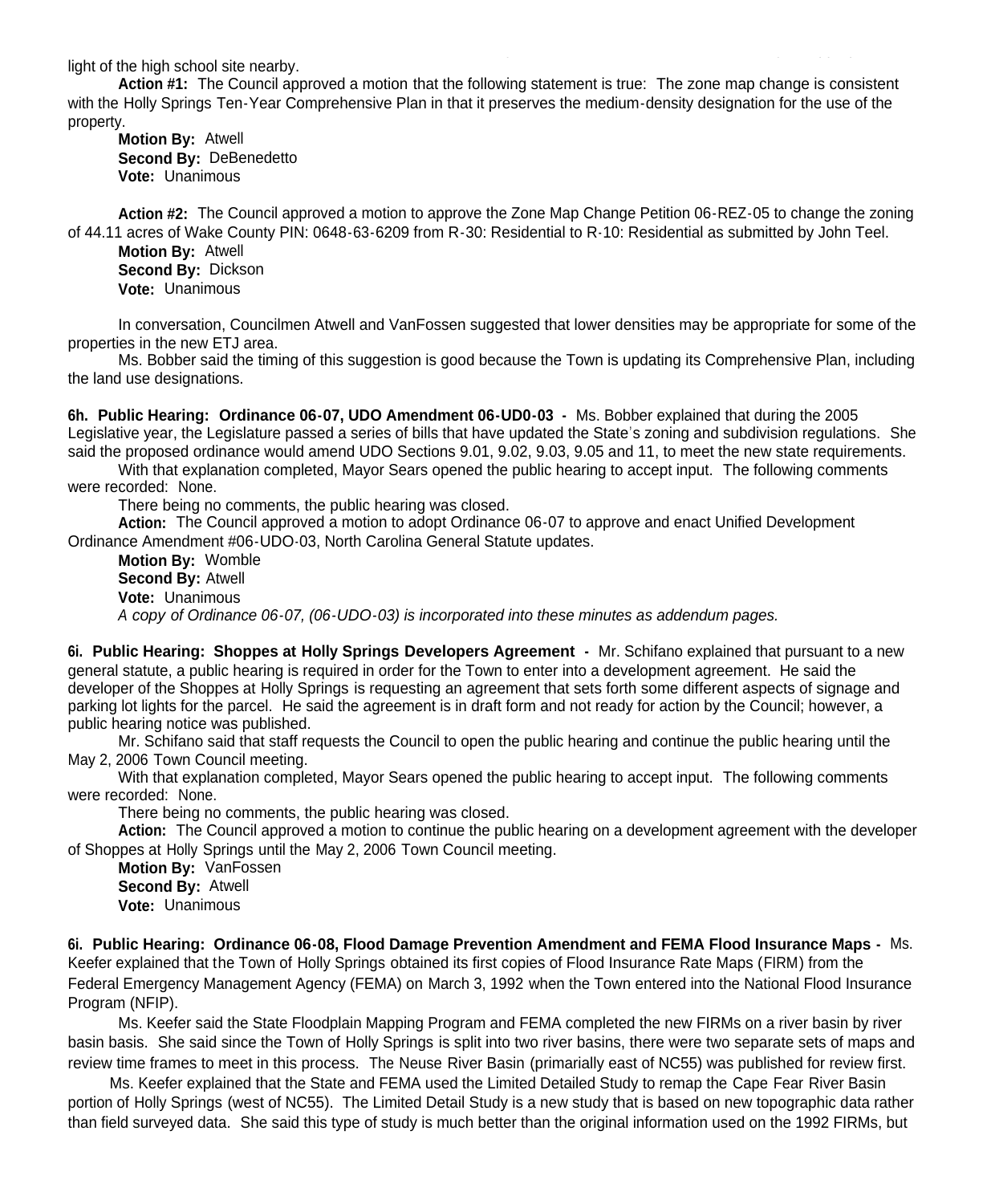light of the high school site nearby.

**Action #1:** The Council approved a motion that the following statement is true: The zone map change is consistent with the Holly Springs Ten-Year Comprehensive Plan in that it preserves the medium-density designation for the use of the property.

**Motion By:** Atwell **Second By:** DeBenedetto **Vote:** Unanimous

**Action #2:** The Council approved a motion to approve the Zone Map Change Petition 06-REZ-05 to change the zoning of 44.11 acres of Wake County PIN: 0648-63-6209 from R-30: Residential to R-10: Residential as submitted by John Teel.

**Motion By:** Atwell **Second By:** Dickson **Vote:** Unanimous

In conversation, Councilmen Atwell and VanFossen suggested that lower densities may be appropriate for some of the properties in the new ETJ area.

Ms. Bobber said the timing of this suggestion is good because the Town is updating its Comprehensive Plan, including the land use designations.

**6h. Public Hearing: Ordinance 06-07, UDO Amendment 06-UD0-03 -** Ms. Bobber explained that during the 2005 Legislative year, the Legislature passed a series of bills that have updated the State's zoning and subdivision regulations. She said the proposed ordinance would amend UDO Sections 9.01, 9.02, 9.03, 9.05 and 11, to meet the new state requirements.

With that explanation completed, Mayor Sears opened the public hearing to accept input. The following comments were recorded: None.

There being no comments, the public hearing was closed.

**Action:** The Council approved a motion to adopt Ordinance 06-07 to approve and enact Unified Development Ordinance Amendment #06-UDO-03, North Carolina General Statute updates.

**Motion By:** Womble **Second By:** Atwell **Vote:** Unanimous *A copy of Ordinance 06-07, (06-UDO-03) is incorporated into these minutes as addendum pages.*

**6i. Public Hearing: Shoppes at Holly Springs Developers Agreement -** Mr. Schifano explained that pursuant to a new general statute, a public hearing is required in order for the Town to enter into a development agreement. He said the developer of the Shoppes at Holly Springs is requesting an agreement that sets forth some different aspects of signage and parking lot lights for the parcel. He said the agreement is in draft form and not ready for action by the Council; however, a public hearing notice was published.

Mr. Schifano said that staff requests the Council to open the public hearing and continue the public hearing until the May 2, 2006 Town Council meeting.

With that explanation completed, Mayor Sears opened the public hearing to accept input. The following comments were recorded: None.

There being no comments, the public hearing was closed.

**Action:** The Council approved a motion to continue the public hearing on a development agreement with the developer of Shoppes at Holly Springs until the May 2, 2006 Town Council meeting.

**Motion By:** VanFossen **Second By:** Atwell **Vote:** Unanimous

**6i. Public Hearing: Ordinance 06-08, Flood Damage Prevention Amendment and FEMA Flood Insurance Maps -** Ms. Keefer explained that the Town of Holly Springs obtained its first copies of Flood Insurance Rate Maps (FIRM) from the Federal Emergency Management Agency (FEMA) on March 3, 1992 when the Town entered into the National Flood Insurance Program (NFIP).

Ms. Keefer said the State Floodplain Mapping Program and FEMA completed the new FIRMs on a river basin by river basin basis. She said since the Town of Holly Springs is split into two river basins, there were two separate sets of maps and review time frames to meet in this process. The Neuse River Basin (primarially east of NC55) was published for review first.

Ms. Keefer explained that the State and FEMA used the Limited Detailed Study to remap the Cape Fear River Basin portion of Holly Springs (west of NC55). The Limited Detail Study is a new study that is based on new topographic data rather than field surveyed data. She said this type of study is much better than the original information used on the 1992 FIRMs, but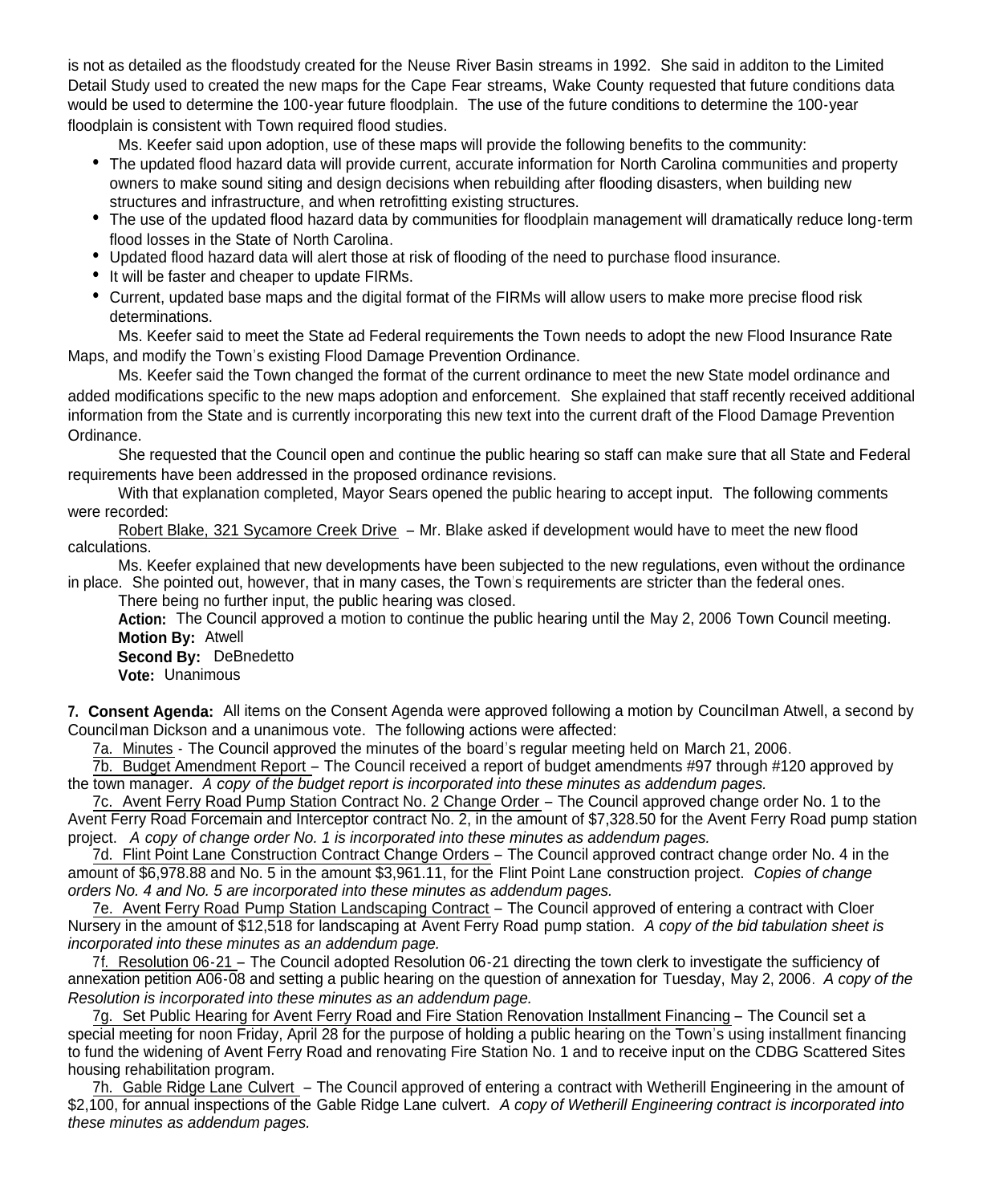is not as detailed as the floodstudy created for the Neuse River Basin streams in 1992. She said in additon to the Limited Detail Study used to created the new maps for the Cape Fear streams, Wake County requested that future conditions data would be used to determine the 100-year future floodplain. The use of the future conditions to determine the 100-year floodplain is consistent with Town required flood studies.

Ms. Keefer said upon adoption, use of these maps will provide the following benefits to the community:

- The updated flood hazard data will provide current, accurate information for North Carolina communities and property owners to make sound siting and design decisions when rebuilding after flooding disasters, when building new structures and infrastructure, and when retrofitting existing structures.
- The use of the updated flood hazard data by communities for floodplain management will dramatically reduce long-term flood losses in the State of North Carolina.
- Updated flood hazard data will alert those at risk of flooding of the need to purchase flood insurance.
- It will be faster and cheaper to update FIRMs.
- Current, updated base maps and the digital format of the FIRMs will allow users to make more precise flood risk determinations.

Ms. Keefer said to meet the State ad Federal requirements the Town needs to adopt the new Flood Insurance Rate Maps, and modify the Town's existing Flood Damage Prevention Ordinance.

Ms. Keefer said the Town changed the format of the current ordinance to meet the new State model ordinance and added modifications specific to the new maps adoption and enforcement. She explained that staff recently received additional information from the State and is currently incorporating this new text into the current draft of the Flood Damage Prevention Ordinance.

She requested that the Council open and continue the public hearing so staff can make sure that all State and Federal requirements have been addressed in the proposed ordinance revisions.

With that explanation completed, Mayor Sears opened the public hearing to accept input. The following comments were recorded:

Robert Blake, 321 Sycamore Creek Drive – Mr. Blake asked if development would have to meet the new flood calculations.

Ms. Keefer explained that new developments have been subjected to the new regulations, even without the ordinance in place. She pointed out, however, that in many cases, the Town's requirements are stricter than the federal ones.

There being no further input, the public hearing was closed.

**Action:** The Council approved a motion to continue the public hearing until the May 2, 2006 Town Council meeting. **Motion By:** Atwell

**Second By:** DeBnedetto **Vote:** Unanimous

**7. Consent Agenda:** All items on the Consent Agenda were approved following a motion by Councilman Atwell, a second by Councilman Dickson and a unanimous vote. The following actions were affected:

7a. Minutes - The Council approved the minutes of the board's regular meeting held on March 21, 2006.

7b. Budget Amendment Report – The Council received a report of budget amendments #97 through #120 approved by the town manager. *A copy of the budget report is incorporated into these minutes as addendum pages.*

7c. Avent Ferry Road Pump Station Contract No. 2 Change Order – The Council approved change order No. 1 to the Avent Ferry Road Forcemain and Interceptor contract No. 2, in the amount of \$7,328.50 for the Avent Ferry Road pump station project. *A copy of change order No. 1 is incorporated into these minutes as addendum pages.*

7d. Flint Point Lane Construction Contract Change Orders – The Council approved contract change order No. 4 in the amount of \$6,978.88 and No. 5 in the amount \$3,961.11, for the Flint Point Lane construction project. *Copies of change orders No. 4 and No. 5 are incorporated into these minutes as addendum pages.*

7e. Avent Ferry Road Pump Station Landscaping Contract – The Council approved of entering a contract with Cloer Nursery in the amount of \$12,518 for landscaping at Avent Ferry Road pump station. *A copy of the bid tabulation sheet is incorporated into these minutes as an addendum page.*

7f. Resolution 06-21 – The Council adopted Resolution 06-21 directing the town clerk to investigate the sufficiency of annexation petition A06-08 and setting a public hearing on the question of annexation for Tuesday, May 2, 2006. *A copy of the Resolution is incorporated into these minutes as an addendum page.*

7g. Set Public Hearing for Avent Ferry Road and Fire Station Renovation Installment Financing – The Council set a special meeting for noon Friday, April 28 for the purpose of holding a public hearing on the Town's using installment financing to fund the widening of Avent Ferry Road and renovating Fire Station No. 1 and to receive input on the CDBG Scattered Sites housing rehabilitation program.

7h. Gable Ridge Lane Culvert – The Council approved of entering a contract with Wetherill Engineering in the amount of \$2,100, for annual inspections of the Gable Ridge Lane culvert. *A copy of Wetherill Engineering contract is incorporated into these minutes as addendum pages.*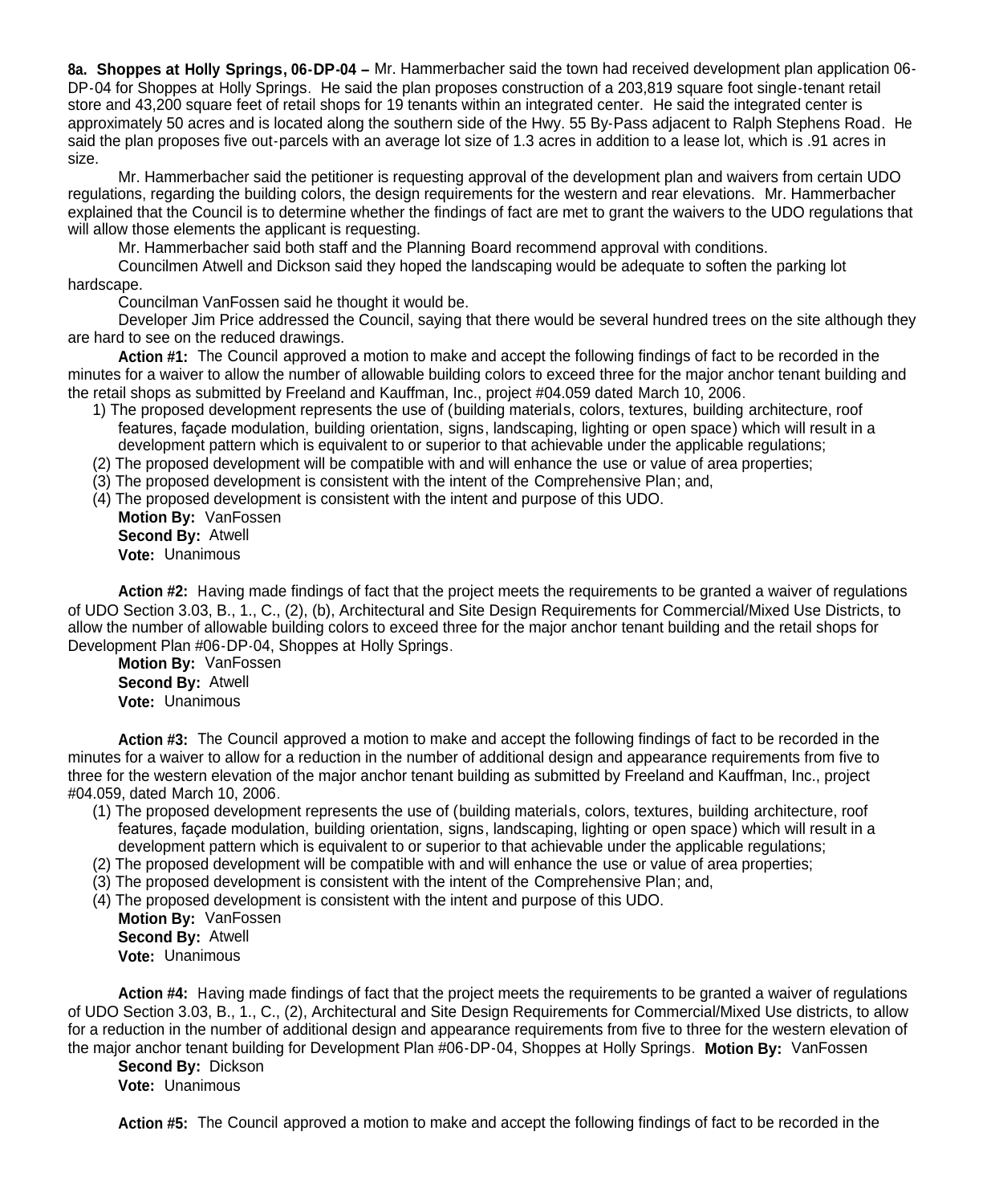**8a. Shoppes at Holly Springs, 06-DP-04 –** Mr. Hammerbacher said the town had received development plan application 06- DP-04 for Shoppes at Holly Springs. He said the plan proposes construction of a 203,819 square foot single-tenant retail store and 43,200 square feet of retail shops for 19 tenants within an integrated center. He said the integrated center is approximately 50 acres and is located along the southern side of the Hwy. 55 By-Pass adjacent to Ralph Stephens Road. He said the plan proposes five out-parcels with an average lot size of 1.3 acres in addition to a lease lot, which is .91 acres in size.

Mr. Hammerbacher said the petitioner is requesting approval of the development plan and waivers from certain UDO regulations, regarding the building colors, the design requirements for the western and rear elevations. Mr. Hammerbacher explained that the Council is to determine whether the findings of fact are met to grant the waivers to the UDO regulations that will allow those elements the applicant is requesting.

Mr. Hammerbacher said both staff and the Planning Board recommend approval with conditions.

Councilmen Atwell and Dickson said they hoped the landscaping would be adequate to soften the parking lot hardscape.

Councilman VanFossen said he thought it would be.

Developer Jim Price addressed the Council, saying that there would be several hundred trees on the site although they are hard to see on the reduced drawings.

**Action #1:** The Council approved a motion to make and accept the following findings of fact to be recorded in the minutes for a waiver to allow the number of allowable building colors to exceed three for the major anchor tenant building and the retail shops as submitted by Freeland and Kauffman, Inc., project #04.059 dated March 10, 2006.

1) The proposed development represents the use of (building materials, colors, textures, building architecture, roof features, façade modulation, building orientation, signs, landscaping, lighting or open space) which will result in a development pattern which is equivalent to or superior to that achievable under the applicable regulations;

(2) The proposed development will be compatible with and will enhance the use or value of area properties;

- (3) The proposed development is consistent with the intent of the Comprehensive Plan; and,
- (4) The proposed development is consistent with the intent and purpose of this UDO.

**Motion By:** VanFossen **Second By:** Atwell **Vote:** Unanimous

**Action #2:** Having made findings of fact that the project meets the requirements to be granted a waiver of regulations of UDO Section 3.03, B., 1., C., (2), (b), Architectural and Site Design Requirements for Commercial/Mixed Use Districts, to allow the number of allowable building colors to exceed three for the major anchor tenant building and the retail shops for Development Plan #06-DP-04, Shoppes at Holly Springs.

**Motion By:** VanFossen **Second By:** Atwell **Vote:** Unanimous

**Action #3:** The Council approved a motion to make and accept the following findings of fact to be recorded in the minutes for a waiver to allow for a reduction in the number of additional design and appearance requirements from five to three for the western elevation of the major anchor tenant building as submitted by Freeland and Kauffman, Inc., project #04.059, dated March 10, 2006.

- (1) The proposed development represents the use of (building materials, colors, textures, building architecture, roof features, façade modulation, building orientation, signs, landscaping, lighting or open space) which will result in a development pattern which is equivalent to or superior to that achievable under the applicable regulations;
- (2) The proposed development will be compatible with and will enhance the use or value of area properties;
- (3) The proposed development is consistent with the intent of the Comprehensive Plan; and,
- (4) The proposed development is consistent with the intent and purpose of this UDO.

**Motion By:** VanFossen **Second By:** Atwell **Vote:** Unanimous

**Action #4:** Having made findings of fact that the project meets the requirements to be granted a waiver of regulations of UDO Section 3.03, B., 1., C., (2), Architectural and Site Design Requirements for Commercial/Mixed Use districts, to allow for a reduction in the number of additional design and appearance requirements from five to three for the western elevation of the major anchor tenant building for Development Plan #06-DP-04, Shoppes at Holly Springs. **Motion By:** VanFossen

**Second By:** Dickson

**Vote:** Unanimous

**Action #5:** The Council approved a motion to make and accept the following findings of fact to be recorded in the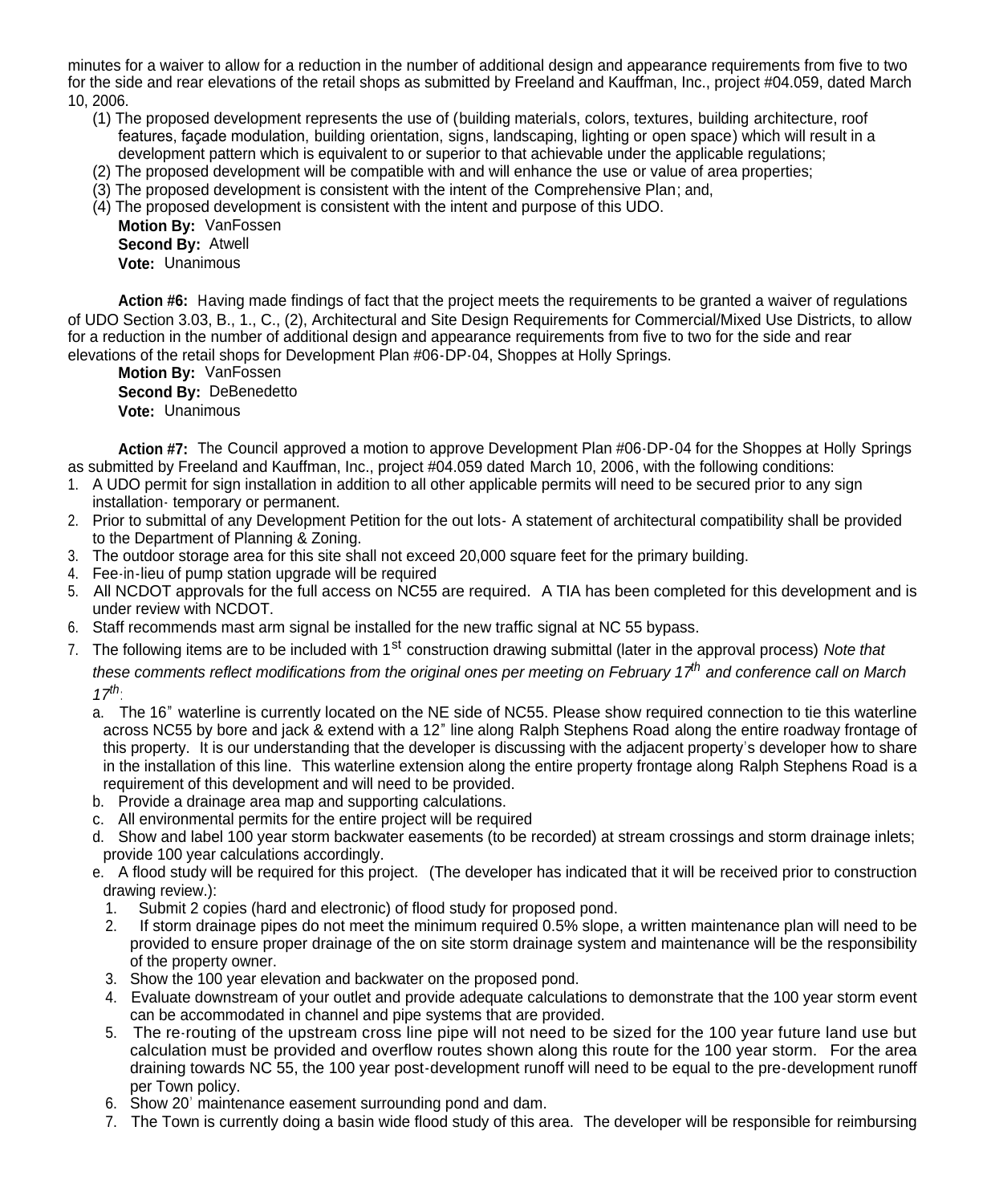minutes for a waiver to allow for a reduction in the number of additional design and appearance requirements from five to two for the side and rear elevations of the retail shops as submitted by Freeland and Kauffman, Inc., project #04.059, dated March 10, 2006.

- (1) The proposed development represents the use of (building materials, colors, textures, building architecture, roof features, facade modulation, building orientation, signs, landscaping, lighting or open space) which will result in a development pattern which is equivalent to or superior to that achievable under the applicable regulations;
- (2) The proposed development will be compatible with and will enhance the use or value of area properties;
- (3) The proposed development is consistent with the intent of the Comprehensive Plan; and,
- (4) The proposed development is consistent with the intent and purpose of this UDO.

**Motion By:** VanFossen **Second By:** Atwell **Vote:** Unanimous

**Action #6:** Having made findings of fact that the project meets the requirements to be granted a waiver of regulations of UDO Section 3.03, B., 1., C., (2), Architectural and Site Design Requirements for Commercial/Mixed Use Districts, to allow for a reduction in the number of additional design and appearance requirements from five to two for the side and rear elevations of the retail shops for Development Plan #06-DP-04, Shoppes at Holly Springs.

**Motion By: VanFossen Second By:** DeBenedetto **Vote:** Unanimous

**Action #7:** The Council approved a motion to approve Development Plan #06-DP-04 for the Shoppes at Holly Springs as submitted by Freeland and Kauffman, Inc., project #04.059 dated March 10, 2006, with the following conditions:

- 1. A UDO permit for sign installation in addition to all other applicable permits will need to be secured prior to any sign installation- temporary or permanent.
- 2. Prior to submittal of any Development Petition for the out lots- A statement of architectural compatibility shall be provided to the Department of Planning & Zoning.
- 3. The outdoor storage area for this site shall not exceed 20,000 square feet for the primary building.
- 4. Fee-in-lieu of pump station upgrade will be required
- 5. All NCDOT approvals for the full access on NC55 are required. A TIA has been completed for this development and is under review with NCDOT.
- 6. Staff recommends mast arm signal be installed for the new traffic signal at NC 55 bypass.
- 7. The following items are to be included with 1<sup>st</sup> construction drawing submittal (later in the approval process) *Note that these comments reflect modifications from the original ones per meeting on February 17th and conference call on March 17th*:
	- a. The 16" waterline is currently located on the NE side of NC55. Please show required connection to tie this waterline across NC55 by bore and jack & extend with a 12" line along Ralph Stephens Road along the entire roadway frontage of this property. It is our understanding that the developer is discussing with the adjacent property's developer how to share in the installation of this line. This waterline extension along the entire property frontage along Ralph Stephens Road is a requirement of this development and will need to be provided.
	- b. Provide a drainage area map and supporting calculations.
	- c. All environmental permits for the entire project will be required
	- d. Show and label 100 year storm backwater easements (to be recorded) at stream crossings and storm drainage inlets; provide 100 year calculations accordingly.
	- e. A flood study will be required for this project. (The developer has indicated that it will be received prior to construction drawing review.):
		- 1. Submit 2 copies (hard and electronic) of flood study for proposed pond.
		- 2. If storm drainage pipes do not meet the minimum required 0.5% slope, a written maintenance plan will need to be provided to ensure proper drainage of the on site storm drainage system and maintenance will be the responsibility of the property owner.
	- 3. Show the 100 year elevation and backwater on the proposed pond.
	- 4. Evaluate downstream of your outlet and provide adequate calculations to demonstrate that the 100 year storm event can be accommodated in channel and pipe systems that are provided.
	- 5. The re-routing of the upstream cross line pipe will not need to be sized for the 100 year future land use but calculation must be provided and overflow routes shown along this route for the 100 year storm. For the area draining towards NC 55, the 100 year post-development runoff will need to be equal to the pre-development runoff per Town policy.
	- 6. Show 20' maintenance easement surrounding pond and dam.
	- 7. The Town is currently doing a basin wide flood study of this area. The developer will be responsible for reimbursing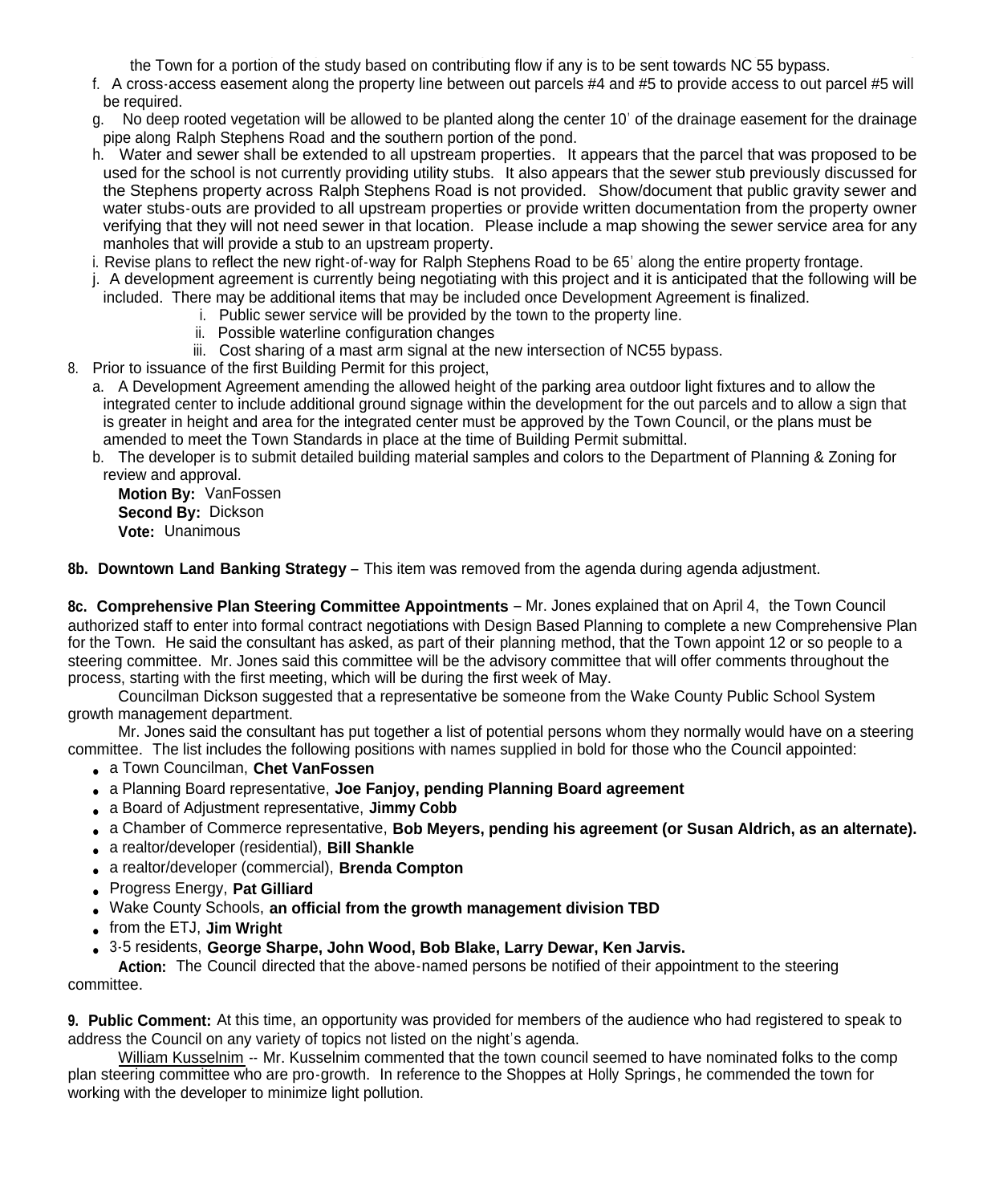7. The Town is currently doing a basin wide flood study of this area. The developer will be responsible for reimbursing the Town for a portion of the study based on contributing flow if any is to be sent towards NC 55 bypass.

- f. A cross-access easement along the property line between out parcels #4 and #5 to provide access to out parcel #5 will be required.
- g. No deep rooted vegetation will be allowed to be planted along the center 10' of the drainage easement for the drainage pipe along Ralph Stephens Road and the southern portion of the pond.
- h. Water and sewer shall be extended to all upstream properties. It appears that the parcel that was proposed to be used for the school is not currently providing utility stubs. It also appears that the sewer stub previously discussed for the Stephens property across Ralph Stephens Road is not provided. Show/document that public gravity sewer and water stubs-outs are provided to all upstream properties or provide written documentation from the property owner verifying that they will not need sewer in that location. Please include a map showing the sewer service area for any manholes that will provide a stub to an upstream property.
- i. Revise plans to reflect the new right-of-way for Ralph Stephens Road to be 65' along the entire property frontage.
- j. A development agreement is currently being negotiating with this project and it is anticipated that the following will be included. There may be additional items that may be included once Development Agreement is finalized.
	- i. Public sewer service will be provided by the town to the property line.
	- ii. Possible waterline configuration changes
	- iii. Cost sharing of a mast arm signal at the new intersection of NC55 bypass.
- 8. Prior to issuance of the first Building Permit for this project,
	- a. A Development Agreement amending the allowed height of the parking area outdoor light fixtures and to allow the integrated center to include additional ground signage within the development for the out parcels and to allow a sign that is greater in height and area for the integrated center must be approved by the Town Council, or the plans must be amended to meet the Town Standards in place at the time of Building Permit submittal.
	- b. The developer is to submit detailed building material samples and colors to the Department of Planning & Zoning for review and approval.

**Motion By:** VanFossen **Second By:** Dickson **Vote:** Unanimous

**8b. Downtown Land Banking Strategy** – This item was removed from the agenda during agenda adjustment.

**8c. Comprehensive Plan Steering Committee Appointments** – Mr. Jones explained that on April 4, the Town Council authorized staff to enter into formal contract negotiations with Design Based Planning to complete a new Comprehensive Plan for the Town. He said the consultant has asked, as part of their planning method, that the Town appoint 12 or so people to a steering committee. Mr. Jones said this committee will be the advisory committee that will offer comments throughout the process, starting with the first meeting, which will be during the first week of May.

Councilman Dickson suggested that a representative be someone from the Wake County Public School System growth management department.

Mr. Jones said the consultant has put together a list of potential persons whom they normally would have on a steering committee. The list includes the following positions with names supplied in bold for those who the Council appointed:

- a Town Councilman, **Chet VanFossen**
- a Planning Board representative, **Joe Fanjoy, pending Planning Board agreement**
- a Board of Adjustment representative, **Jimmy Cobb**
- a Chamber of Commerce representative, **Bob Meyers, pending his agreement (or Susan Aldrich, as an alternate).**
- a realtor/developer (residential), **Bill Shankle**
- a realtor/developer (commercial), **Brenda Compton**
- Progress Energy, **Pat Gilliard**
- Wake County Schools, **an official from the growth management division TBD**
- from the ETJ, **Jim Wright**
- 3-5 residents, **George Sharpe, John Wood, Bob Blake, Larry Dewar, Ken Jarvis.**

**Action:** The Council directed that the above-named persons be notified of their appointment to the steering committee.

**9. Public Comment:** At this time, an opportunity was provided for members of the audience who had registered to speak to address the Council on any variety of topics not listed on the night's agenda.

William Kusselnim -- Mr. Kusselnim commented that the town council seemed to have nominated folks to the comp plan steering committee who are pro-growth. In reference to the Shoppes at Holly Springs, he commended the town for working with the developer to minimize light pollution.